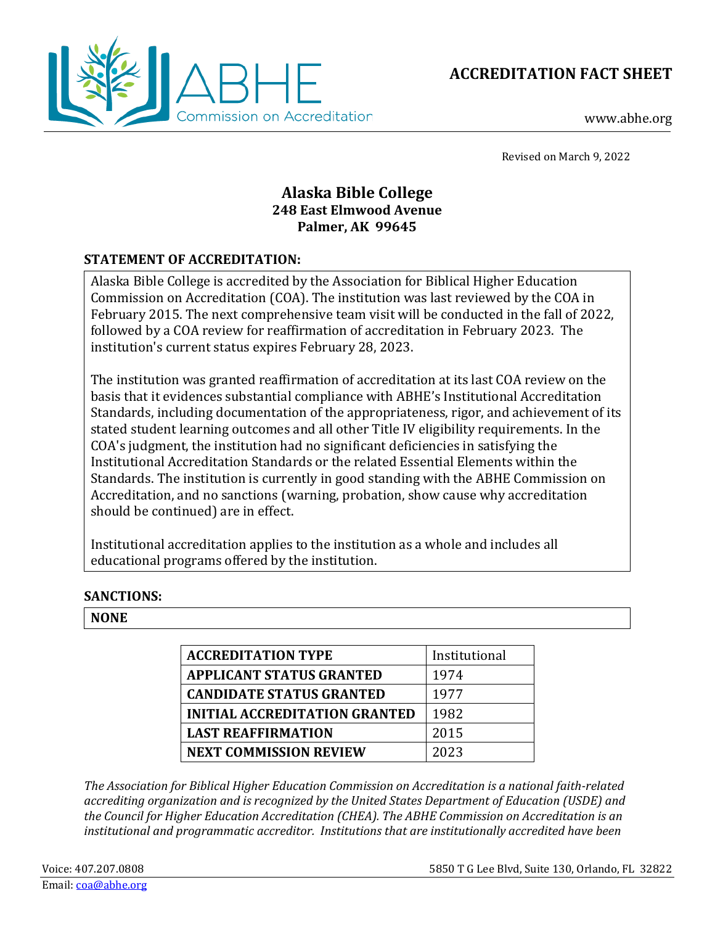**ACCREDITATION FACT SHEET**



www.abhe.org

Revised on March 9, 2022

## **Alaska Bible College 248 East Elmwood Avenue Palmer, AK 99645**

## **STATEMENT OF ACCREDITATION:**

Alaska Bible College is accredited by the Association for Biblical Higher Education Commission on Accreditation (COA). The institution was last reviewed by the COA in February 2015. The next comprehensive team visit will be conducted in the fall of 2022, followed by a COA review for reaffirmation of accreditation in February 2023. The institution's current status expires February 28, 2023.

The institution was granted reaffirmation of accreditation at its last COA review on the basis that it evidences substantial compliance with ABHE's Institutional Accreditation Standards, including documentation of the appropriateness, rigor, and achievement of its stated student learning outcomes and all other Title IV eligibility requirements. In the COA's judgment, the institution had no significant deficiencies in satisfying the Institutional Accreditation Standards or the related Essential Elements within the Standards. The institution is currently in good standing with the ABHE Commission on Accreditation, and no sanctions (warning, probation, show cause why accreditation should be continued) are in effect.

Institutional accreditation applies to the institution as a whole and includes all educational programs offered by the institution.

## **SANCTIONS:**

## **NONE**

| <b>ACCREDITATION TYPE</b>            | Institutional |
|--------------------------------------|---------------|
| <b>APPLICANT STATUS GRANTED</b>      | 1974          |
| <b>CANDIDATE STATUS GRANTED</b>      | 1977          |
| <b>INITIAL ACCREDITATION GRANTED</b> | 1982          |
| <b>LAST REAFFIRMATION</b>            | 2015          |
| <b>NEXT COMMISSION REVIEW</b>        | 2023          |

*The Association for Biblical Higher Education Commission on Accreditation is a national faith-related accrediting organization and is recognized by the United States Department of Education (USDE) and the Council for Higher Education Accreditation (CHEA). The ABHE Commission on Accreditation is an institutional and programmatic accreditor. Institutions that are institutionally accredited have been*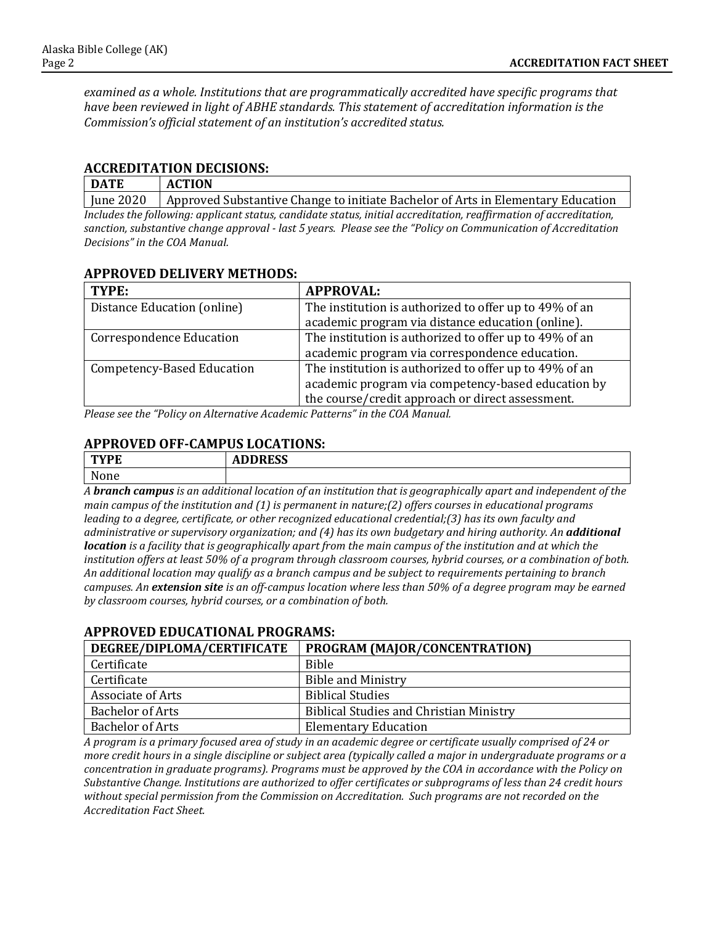*examined as a whole. Institutions that are programmatically accredited have specific programs that have been reviewed in light of ABHE standards. This statement of accreditation information is the Commission's official statement of an institution's accredited status.* 

### **ACCREDITATION DECISIONS:**

| <b>DATE</b>                                                                                                        | <b>ACTION</b>                                                                    |  |  |
|--------------------------------------------------------------------------------------------------------------------|----------------------------------------------------------------------------------|--|--|
| June 2020                                                                                                          | Approved Substantive Change to initiate Bachelor of Arts in Elementary Education |  |  |
| Includes the following: applicant status, candidate status, initial accreditation, reaffirmation of accreditation, |                                                                                  |  |  |
| sanction, substantive change approval - last 5 years. Please see the "Policy on Communication of Accreditation     |                                                                                  |  |  |
| Decisions" in the COA Manual.                                                                                      |                                                                                  |  |  |

#### **APPROVED DELIVERY METHODS:**

| TYPE:                             | <b>APPROVAL:</b>                                       |
|-----------------------------------|--------------------------------------------------------|
| Distance Education (online)       | The institution is authorized to offer up to 49% of an |
|                                   | academic program via distance education (online).      |
| <b>Correspondence Education</b>   | The institution is authorized to offer up to 49% of an |
|                                   | academic program via correspondence education.         |
| <b>Competency-Based Education</b> | The institution is authorized to offer up to 49% of an |
|                                   | academic program via competency-based education by     |
| $\mathbf{r}$                      | the course/credit approach or direct assessment.       |

*Please see the "Policy on Alternative Academic Patterns" in the COA Manual.*

## **APPROVED OFF-CAMPUS LOCATIONS:**

| T <sub>1</sub><br>ட<br>---- | <b>DDD00</b><br>טטעונעי<br>. |
|-----------------------------|------------------------------|
| $\mathbf{N}$<br>w<br>ше     |                              |

*A branch campus is an additional location of an institution that is geographically apart and independent of the main campus of the institution and (1) is permanent in nature;(2) offers courses in educational programs leading to a degree, certificate, or other recognized educational credential;(3) has its own faculty and administrative or supervisory organization; and (4) has its own budgetary and hiring authority. An additional location is a facility that is geographically apart from the main campus of the institution and at which the institution offers at least 50% of a program through classroom courses, hybrid courses, or a combination of both. An additional location may qualify as a branch campus and be subject to requirements pertaining to branch campuses. An extension site is an off-campus location where less than 50% of a degree program may be earned by classroom courses, hybrid courses, or a combination of both.*

## **DEGREE/DIPLOMA/CERTIFICATE PROGRAM (MAJOR/CONCENTRATION)** Certificate Bible<br>Certificate Bible **Bible and Ministry<br>Biblical Studies** Associate of Arts<br>Bachelor of Arts Bachelor of Arts Biblical Studies and Christian Ministry<br>Bachelor of Arts Elementary Education **Elementary Education**

## **APPROVED EDUCATIONAL PROGRAMS:**

*A program is a primary focused area of study in an academic degree or certificate usually comprised of 24 or more credit hours in a single discipline or subject area (typically called a major in undergraduate programs or a concentration in graduate programs). Programs must be approved by the COA in accordance with the Policy on Substantive Change. Institutions are authorized to offer certificates or subprograms of less than 24 credit hours without special permission from the Commission on Accreditation. Such programs are not recorded on the Accreditation Fact Sheet.*